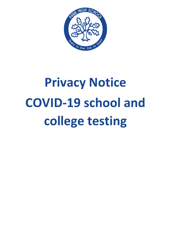

# **Privacy Notice COVID-19 school and college testing**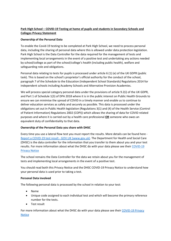# **Park High School – COVID-19 Testing at home of pupils and students in Secondary Schools and Colleges Privacy Statement**

## **Ownership of the Personal Data**

To enable the Covid-19 testing to be completed at Park High School, we need to process personal data, including the sharing of personal data where this is allowed under data protection legislation. Park High School is the Data Controller for the data required for the management of tests and implementing local arrangements in the event of a positive test and undertaking any actions needed by school/college as part of the school/college's health (including public health), welfare and safeguarding role and obligations.

Personal data relating to tests for pupils is processed under article 6 (1) (e) of the UK GDPR (public task). This is based on the school's proprietor's official authority for the conduct of the school, paragraph 7 of the Schedule to the Education (Independent School Standards) Regulations 2014 for independent schools including Academy Schools and Alternative Provision Academies.

We will process special category personal data under the provisions of article 9.2(i) of the UK GDPR, and Part 1 of Schedule 1(3) of DPA 2018 where it is in the public interest on Public Health Grounds to ensure we can minimise the spread of COVID in a timely manner and enable us to continue to deliver education services as safely and securely as possible. This data is processed under the obligations set out in Public Health legislation (Regulations 3(1) and (4) of the Health Service (Control of Patient Information) Regulations 2002 (COPI)) which allows the sharing of data for COVID related purposes and where it is carried out by a health care professional **OR** someone who owes an equivalent duty of confidentiality to that data.

## **Ownership of the Personal Data you share with DHSC**

Every time you use a lateral flow test you must report the results. More details can be found here - [Report a COVID-19 test result -](https://www.gov.uk/report-covid19-result) GOV.UK (www.gov.uk). The Department for Health and Social Care (DHSC) is the data controller for the information that you transfer to them about you and your test results. For more information about what the DHSC do with your data please see their [COVID-19](https://www.gov.uk/government/publications/coronavirus-covid-19-testing-privacy-information)  [Privacy Notice](https://www.gov.uk/government/publications/coronavirus-covid-19-testing-privacy-information)

The school remains the Data Controller for the data we retain about you for the management of tests and implementing local arrangements in the event of a positive test.

You should read both this Privacy Notice and the DHSC COVID-19 Privacy Notice to understand how your personal data is used prior to taking a test.

## **Personal Data involved**

The following personal data is processed by the school in relation to your test:

- Name
- Unique code assigned to each individual test and which will become the primary reference number for the tests.
- Test result

For more information about what the DHSC do with your data please see their COVID-19 Privacy [Notice](https://www.gov.uk/government/publications/coronavirus-covid-19-testing-privacy-information)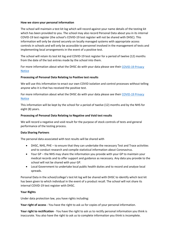#### **How we store your personal information**

The school will maintain a test kit log which will record against your name details of the testing kit which has been provided to you. The school may also record Personal Data about you in its internal COVID-19 test register (the school's COVID-19 test register will not be shared with DHSC). This information will only be stored securely on locally managed systems with appropriate access controls in schools and will only be accessible to personnel involved in the management of tests and implementing local arrangements in the event of a positive test.

The school will retain its test kit log and COVID-19 test register for a period of twelve (12) months from the date of the last entries made by the school into them.

For more information about what the DHSC do with your data please see their [COVID-19 Privacy](https://www.gov.uk/government/publications/coronavirus-covid-19-testing-privacy-information)  [Notice](https://www.gov.uk/government/publications/coronavirus-covid-19-testing-privacy-information)

## **Processing of Personal Data Relating to Positive test results**

We will use this information to enact our own COVID isolation and control processes without telling anyone who it is that has received the positive test.

For more information about what the DHSC do with your data please see their COVID-19 Privacy [Notice](https://www.gov.uk/government/publications/coronavirus-covid-19-testing-privacy-information)

This information will be kept by the school for a period of twelve (12) months and by the NHS for eight (8) years.

#### **Processing of Personal Data Relating to Negative and Void test results**

We will record a negative and void result for the purpose of stock controls of tests and general performance of the testing process.

#### **Data Sharing Partners**

The personal data associated with test results will be shared with

- DHSC, NHS, PHE to ensure that they can undertake the necessary Test and Trace activities and to conduct research and compile statistical information about Coronavirus.
- Your GP the NHS may share the information you provide with your GP to maintain your medical records and to offer support and guidance as necessary. Any data you provide to the school will not be shared with your GP.
- Local Government to undertake local public health duties and to record and analyse local spreads.

Personal Data in the school/college's test kit log will be shared with DHSC to identify which test kit has been given to which individual in the event of a product recall. The school will not share its internal COVID-19 test register with DHSC.

## **Your Rights**

Under data protection law, you have rights including:

**Your right of access** - You have the right to ask us for copies of your personal information.

**Your right to rectification** - You have the right to ask us to rectify personal information you think is inaccurate. You also have the right to ask us to complete information you think is incomplete.